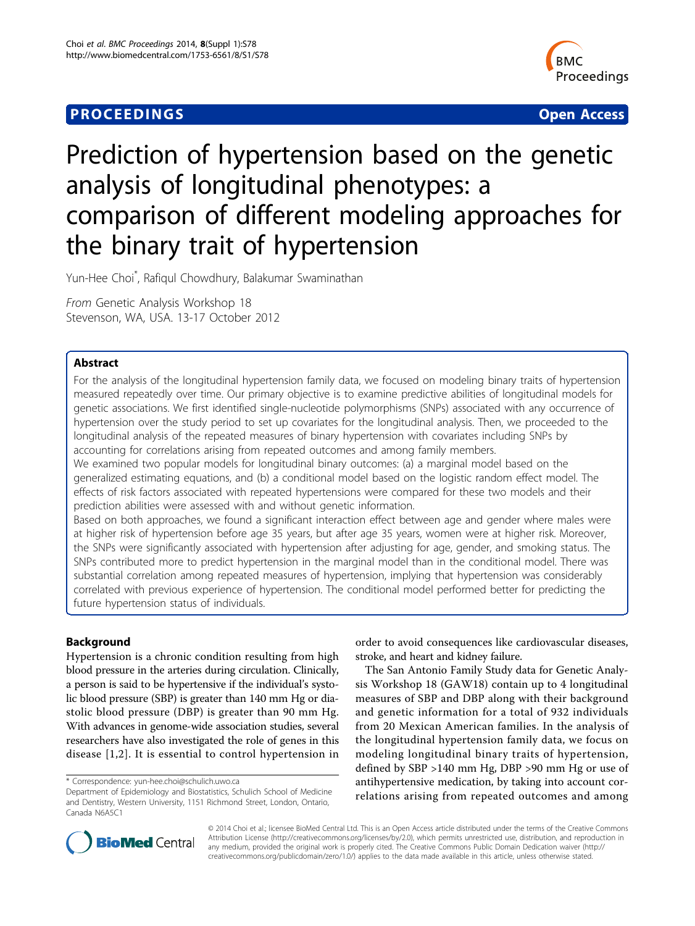## **PROCEEDINGS STATES CONSUMING S** Open Access **CONSUMING S**



# Prediction of hypertension based on the genetic analysis of longitudinal phenotypes: a comparison of different modeling approaches for the binary trait of hypertension

Yun-Hee Choi\* , Rafiqul Chowdhury, Balakumar Swaminathan

From Genetic Analysis Workshop 18 Stevenson, WA, USA. 13-17 October 2012

## Abstract

For the analysis of the longitudinal hypertension family data, we focused on modeling binary traits of hypertension measured repeatedly over time. Our primary objective is to examine predictive abilities of longitudinal models for genetic associations. We first identified single-nucleotide polymorphisms (SNPs) associated with any occurrence of hypertension over the study period to set up covariates for the longitudinal analysis. Then, we proceeded to the longitudinal analysis of the repeated measures of binary hypertension with covariates including SNPs by accounting for correlations arising from repeated outcomes and among family members.

We examined two popular models for longitudinal binary outcomes: (a) a marginal model based on the generalized estimating equations, and (b) a conditional model based on the logistic random effect model. The effects of risk factors associated with repeated hypertensions were compared for these two models and their prediction abilities were assessed with and without genetic information.

Based on both approaches, we found a significant interaction effect between age and gender where males were at higher risk of hypertension before age 35 years, but after age 35 years, women were at higher risk. Moreover, the SNPs were significantly associated with hypertension after adjusting for age, gender, and smoking status. The SNPs contributed more to predict hypertension in the marginal model than in the conditional model. There was substantial correlation among repeated measures of hypertension, implying that hypertension was considerably correlated with previous experience of hypertension. The conditional model performed better for predicting the future hypertension status of individuals.

## Background

Hypertension is a chronic condition resulting from high blood pressure in the arteries during circulation. Clinically, a person is said to be hypertensive if the individual's systolic blood pressure (SBP) is greater than 140 mm Hg or diastolic blood pressure (DBP) is greater than 90 mm Hg. With advances in genome-wide association studies, several researchers have also investigated the role of genes in this disease [[1](#page-4-0)[,2\]](#page-5-0). It is essential to control hypertension in order to avoid consequences like cardiovascular diseases, stroke, and heart and kidney failure.

The San Antonio Family Study data for Genetic Analysis Workshop 18 (GAW18) contain up to 4 longitudinal measures of SBP and DBP along with their background and genetic information for a total of 932 individuals from 20 Mexican American families. In the analysis of the longitudinal hypertension family data, we focus on modeling longitudinal binary traits of hypertension, defined by SBP >140 mm Hg, DBP >90 mm Hg or use of antihypertensive medication, by taking into account correlations arising from repeated outcomes and among



© 2014 Choi et al.; licensee BioMed Central Ltd. This is an Open Access article distributed under the terms of the Creative Commons Attribution License [\(http://creativecommons.org/licenses/by/2.0](http://creativecommons.org/licenses/by/2.0)), which permits unrestricted use, distribution, and reproduction in any medium, provided the original work is properly cited. The Creative Commons Public Domain Dedication waiver [\(http://](http://creativecommons.org/publicdomain/zero/1.0/) [creativecommons.org/publicdomain/zero/1.0/](http://creativecommons.org/publicdomain/zero/1.0/)) applies to the data made available in this article, unless otherwise stated.

<sup>\*</sup> Correspondence: [yun-hee.choi@schulich.uwo.ca](mailto:yun-hee.choi@schulich.uwo.ca)

Department of Epidemiology and Biostatistics, Schulich School of Medicine and Dentistry, Western University, 1151 Richmond Street, London, Ontario, Canada N6A5C1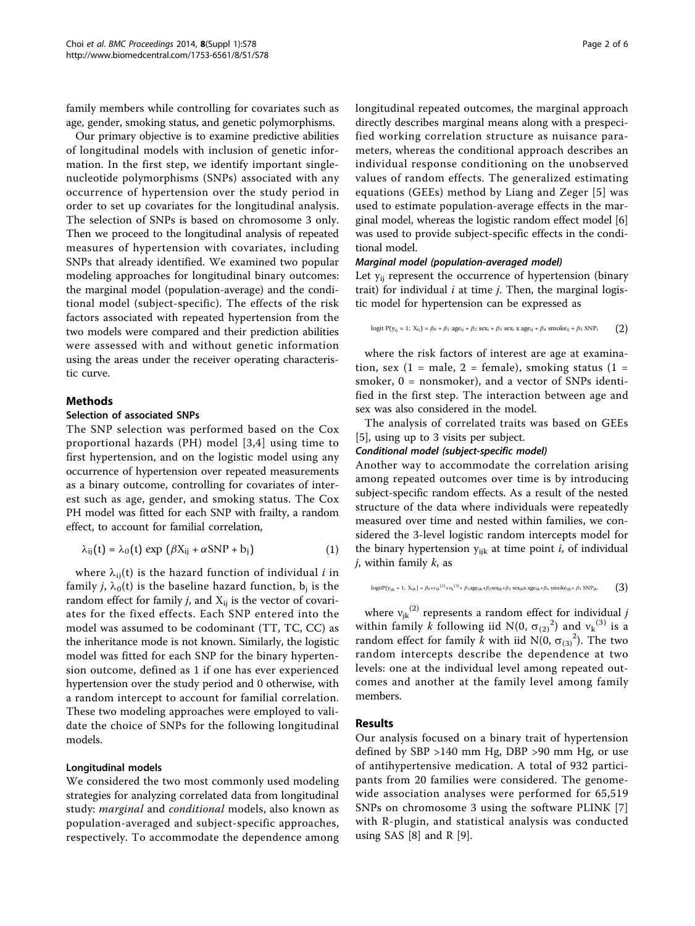family members while controlling for covariates such as age, gender, smoking status, and genetic polymorphisms.

Our primary objective is to examine predictive abilities of longitudinal models with inclusion of genetic information. In the first step, we identify important singlenucleotide polymorphisms (SNPs) associated with any occurrence of hypertension over the study period in order to set up covariates for the longitudinal analysis. The selection of SNPs is based on chromosome 3 only. Then we proceed to the longitudinal analysis of repeated measures of hypertension with covariates, including SNPs that already identified. We examined two popular modeling approaches for longitudinal binary outcomes: the marginal model (population-average) and the conditional model (subject-specific). The effects of the risk factors associated with repeated hypertension from the two models were compared and their prediction abilities were assessed with and without genetic information using the areas under the receiver operating characteristic curve.

#### Methods

#### Selection of associated SNPs

The SNP selection was performed based on the Cox proportional hazards (PH) model [\[3,4](#page-5-0)] using time to first hypertension, and on the logistic model using any occurrence of hypertension over repeated measurements as a binary outcome, controlling for covariates of interest such as age, gender, and smoking status. The Cox PH model was fitted for each SNP with frailty, a random effect, to account for familial correlation,

$$
\lambda_{ij}(t) = \lambda_0(t) \exp \left(\beta X_{ij} + \alpha \text{SNP} + b_j\right) \tag{1}
$$

where  $\lambda_{ii}(t)$  is the hazard function of individual *i* in family *j*,  $\lambda_0(t)$  is the baseline hazard function,  $b_j$  is the random effect for family *j*, and  $X_{ii}$  is the vector of covariates for the fixed effects. Each SNP entered into the model was assumed to be codominant (TT, TC, CC) as the inheritance mode is not known. Similarly, the logistic model was fitted for each SNP for the binary hypertension outcome, defined as 1 if one has ever experienced hypertension over the study period and 0 otherwise, with a random intercept to account for familial correlation. These two modeling approaches were employed to validate the choice of SNPs for the following longitudinal models.

#### Longitudinal models

We considered the two most commonly used modeling strategies for analyzing correlated data from longitudinal study: marginal and conditional models, also known as population-averaged and subject-specific approaches, respectively. To accommodate the dependence among longitudinal repeated outcomes, the marginal approach directly describes marginal means along with a prespecified working correlation structure as nuisance parameters, whereas the conditional approach describes an individual response conditioning on the unobserved values of random effects. The generalized estimating equations (GEEs) method by Liang and Zeger [[5](#page-5-0)] was used to estimate population-average effects in the marginal model, whereas the logistic random effect model [[6](#page-5-0)] was used to provide subject-specific effects in the conditional model.

#### Marginal model (population-averaged model)

Let  $y_{ii}$  represent the occurrence of hypertension (binary trait) for individual  $i$  at time  $j$ . Then, the marginal logistic model for hypertension can be expressed as

logit P( $y_{ij} = 1$ ;  $X_{ij}$ ) =  $\beta_0 + \beta_1$  age<sub>ij</sub> +  $\beta_2$  sex<sub>i</sub> +  $\beta_3$  sex<sub>i</sub> x age<sub>ij</sub> +  $\beta_4$  smoke<sub>ij</sub> +  $\beta_5$  SNP<sub>i</sub> (2)

where the risk factors of interest are age at examination, sex  $(1 = male, 2 = female)$ , smoking status  $(1 =$ smoker, 0 = nonsmoker), and a vector of SNPs identified in the first step. The interaction between age and sex was also considered in the model.

The analysis of correlated traits was based on GEEs [[5\]](#page-5-0), using up to 3 visits per subject.

### Conditional model (subject-specific model)

Another way to accommodate the correlation arising among repeated outcomes over time is by introducing subject-specific random effects. As a result of the nested structure of the data where individuals were repeatedly measured over time and nested within families, we considered the 3-level logistic random intercepts model for the binary hypertension  $y_{ijk}$  at time point *i*, of individual  $j$ , within family  $k$ , as

$$
logitP(y_{ijk}=1;~X_{ijk})=\beta_0+\nu_{jk}{}^{(2)}+\nu_k{}^{(3)}+\ \beta_1 age_{ijk}+\beta_2 sex_{jk}+\beta_3~sex_{jk}x~age_{ijk}+\beta_4~smoke_{ijk}+\ \beta_5~SNP_{jk},\hspace{1cm}\binom{3}{3}
$$

where  $v_{jk}^{(2)}$  represents a random effect for individual j within family k following iid N(0,  $\sigma_{(2)}^2$ ) and  $v_k^{(3)}$  is a random effect for family k with iid N(0,  $\sigma_{(3)}^2$ ). The two random intercepts describe the dependence at two levels: one at the individual level among repeated outcomes and another at the family level among family members.

## **Results**

Our analysis focused on a binary trait of hypertension defined by SBP >140 mm Hg, DBP >90 mm Hg, or use of antihypertensive medication. A total of 932 participants from 20 families were considered. The genomewide association analyses were performed for 65,519 SNPs on chromosome 3 using the software PLINK [\[7](#page-5-0)] with R-plugin, and statistical analysis was conducted using SAS  $[8]$  $[8]$  and R  $[9]$  $[9]$ .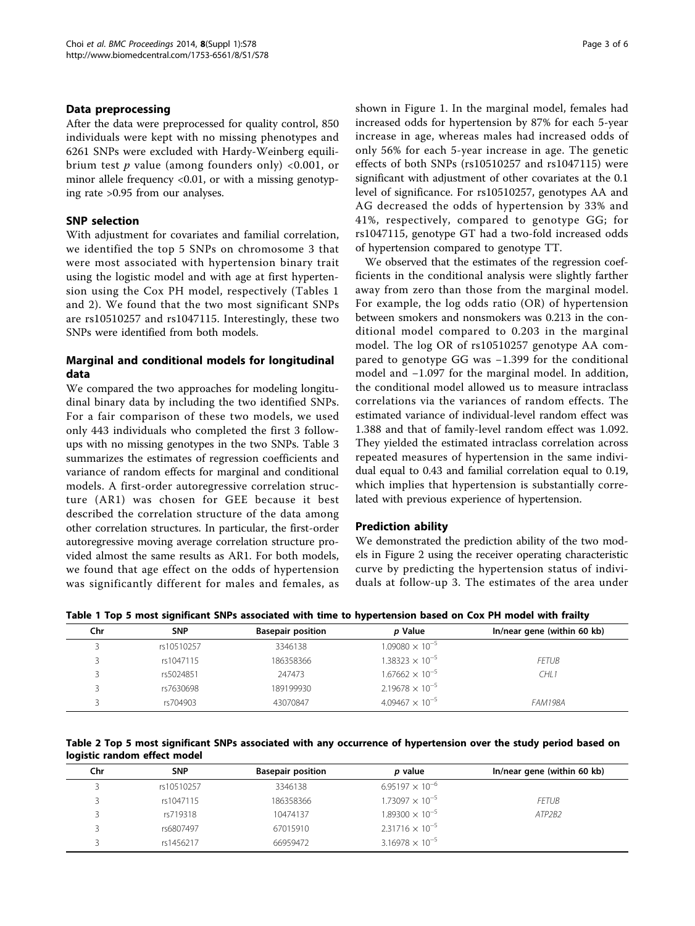### Data preprocessing

After the data were preprocessed for quality control, 850 individuals were kept with no missing phenotypes and 6261 SNPs were excluded with Hardy-Weinberg equilibrium test  $p$  value (among founders only) <0.001, or minor allele frequency  $< 0.01$ , or with a missing genotyping rate >0.95 from our analyses.

## SNP selection

With adjustment for covariates and familial correlation, we identified the top 5 SNPs on chromosome 3 that were most associated with hypertension binary trait using the logistic model and with age at first hypertension using the Cox PH model, respectively (Tables 1 and 2). We found that the two most significant SNPs are rs10510257 and rs1047115. Interestingly, these two SNPs were identified from both models.

## Marginal and conditional models for longitudinal data

We compared the two approaches for modeling longitudinal binary data by including the two identified SNPs. For a fair comparison of these two models, we used only 443 individuals who completed the first 3 followups with no missing genotypes in the two SNPs. Table [3](#page-3-0) summarizes the estimates of regression coefficients and variance of random effects for marginal and conditional models. A first-order autoregressive correlation structure (AR1) was chosen for GEE because it best described the correlation structure of the data among other correlation structures. In particular, the first-order autoregressive moving average correlation structure provided almost the same results as AR1. For both models, we found that age effect on the odds of hypertension was significantly different for males and females, as shown in Figure [1.](#page-3-0) In the marginal model, females had increased odds for hypertension by 87% for each 5-year increase in age, whereas males had increased odds of only 56% for each 5-year increase in age. The genetic effects of both SNPs (rs10510257 and rs1047115) were significant with adjustment of other covariates at the 0.1 level of significance. For rs10510257, genotypes AA and AG decreased the odds of hypertension by 33% and 41%, respectively, compared to genotype GG; for rs1047115, genotype GT had a two-fold increased odds of hypertension compared to genotype TT.

We observed that the estimates of the regression coefficients in the conditional analysis were slightly farther away from zero than those from the marginal model. For example, the log odds ratio (OR) of hypertension between smokers and nonsmokers was 0.213 in the conditional model compared to 0.203 in the marginal model. The log OR of rs10510257 genotype AA compared to genotype GG was −1.399 for the conditional model and −1.097 for the marginal model. In addition, the conditional model allowed us to measure intraclass correlations via the variances of random effects. The estimated variance of individual-level random effect was 1.388 and that of family-level random effect was 1.092. They yielded the estimated intraclass correlation across repeated measures of hypertension in the same individual equal to 0.43 and familial correlation equal to 0.19, which implies that hypertension is substantially correlated with previous experience of hypertension.

## Prediction ability

We demonstrated the prediction ability of the two models in Figure [2](#page-4-0) using the receiver operating characteristic curve by predicting the hypertension status of individuals at follow-up 3. The estimates of the area under

|            | Table 1 Top 5 most significant SNPs associated with time to hypertension based on Cox PH model with frailty |         |                                |
|------------|-------------------------------------------------------------------------------------------------------------|---------|--------------------------------|
| <b>SNP</b> | <b>Rasenair nosition</b>                                                                                    | n Value | $ln/n$ ear gene (within 60 kh) |

| Chr | <b>SNP</b> | <b>Basepair position</b> | p Value                  | In/near gene (within 60 kb) |
|-----|------------|--------------------------|--------------------------|-----------------------------|
|     | rs10510257 | 3346138                  | $1.09080 \times 10^{-5}$ |                             |
|     | rs1047115  | 186358366                | $1.38323 \times 10^{-5}$ | <b>FETUB</b>                |
|     | rs5024851  | 247473                   | $1.67662 \times 10^{-5}$ | CHL <sub>1</sub>            |
|     | rs7630698  | 189199930                | $2.19678 \times 10^{-5}$ |                             |
|     | rs704903   | 43070847                 | $4.09467 \times 10^{-5}$ | <b>FAM198A</b>              |

Table 2 Top 5 most significant SNPs associated with any occurrence of hypertension over the study period based on logistic random effect model

| Chr | <b>SNP</b> | <b>Basepair position</b> | p value                  | In/near gene (within 60 kb) |
|-----|------------|--------------------------|--------------------------|-----------------------------|
|     | rs10510257 | 3346138                  | $6.95197 \times 10^{-6}$ |                             |
|     | rs1047115  | 186358366                | $1.73097 \times 10^{-5}$ | <b>FETUB</b>                |
|     | rs719318   | 10474137                 | $1.89300 \times 10^{-5}$ | ATP2B2                      |
|     | rs6807497  | 67015910                 | $2.31716 \times 10^{-5}$ |                             |
|     | rs1456217  | 66959472                 | $3.16978 \times 10^{-5}$ |                             |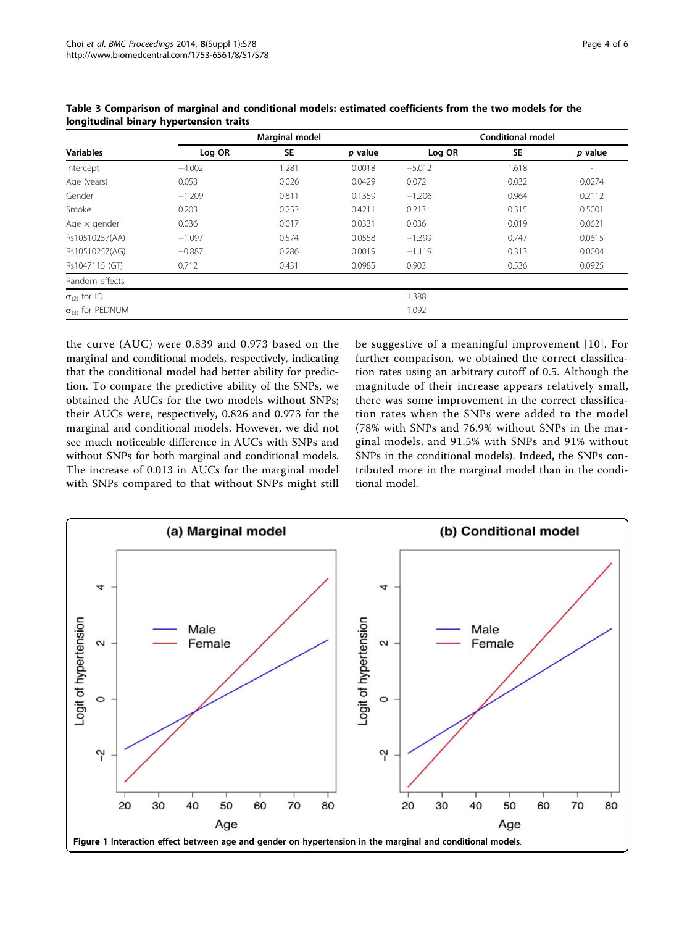|                                    | <b>Marginal model</b> |           |         | <b>Conditional model</b> |       |                          |  |
|------------------------------------|-----------------------|-----------|---------|--------------------------|-------|--------------------------|--|
| <b>Variables</b>                   | Log OR                | <b>SE</b> | p value | Log OR                   | SE    | p value                  |  |
| Intercept                          | $-4.002$              | 1.281     | 0.0018  | $-5.012$                 | 1.618 | $\overline{\phantom{a}}$ |  |
| Age (years)                        | 0.053                 | 0.026     | 0.0429  | 0.072                    | 0.032 | 0.0274                   |  |
| Gender                             | $-1.209$              | 0.811     | 0.1359  | $-1.206$                 | 0.964 | 0.2112                   |  |
| Smoke                              | 0.203                 | 0.253     | 0.4211  | 0.213                    | 0.315 | 0.5001                   |  |
| Age $\times$ gender                | 0.036                 | 0.017     | 0.0331  | 0.036                    | 0.019 | 0.0621                   |  |
| Rs10510257(AA)                     | $-1.097$              | 0.574     | 0.0558  | $-1.399$                 | 0.747 | 0.0615                   |  |
| Rs10510257(AG)                     | $-0.887$              | 0.286     | 0.0019  | $-1.119$                 | 0.313 | 0.0004                   |  |
| Rs1047115 (GT)                     | 0.712                 | 0.431     | 0.0985  | 0.903                    | 0.536 | 0.0925                   |  |
| Random effects                     |                       |           |         |                          |       |                          |  |
| $\sigma_{(2)}$ for ID              |                       |           |         | 1.388                    |       |                          |  |
| $\sigma$ <sub>(3)</sub> for PEDNUM |                       |           |         | 1.092                    |       |                          |  |

<span id="page-3-0"></span>Table 3 Comparison of marginal and conditional models: estimated coefficients from the two models for the longitudinal binary hypertension traits

the curve (AUC) were 0.839 and 0.973 based on the marginal and conditional models, respectively, indicating that the conditional model had better ability for prediction. To compare the predictive ability of the SNPs, we obtained the AUCs for the two models without SNPs; their AUCs were, respectively, 0.826 and 0.973 for the marginal and conditional models. However, we did not see much noticeable difference in AUCs with SNPs and without SNPs for both marginal and conditional models. The increase of 0.013 in AUCs for the marginal model with SNPs compared to that without SNPs might still be suggestive of a meaningful improvement [[10\]](#page-5-0). For further comparison, we obtained the correct classification rates using an arbitrary cutoff of 0.5. Although the magnitude of their increase appears relatively small, there was some improvement in the correct classification rates when the SNPs were added to the model (78% with SNPs and 76.9% without SNPs in the marginal models, and 91.5% with SNPs and 91% without SNPs in the conditional models). Indeed, the SNPs contributed more in the marginal model than in the conditional model.

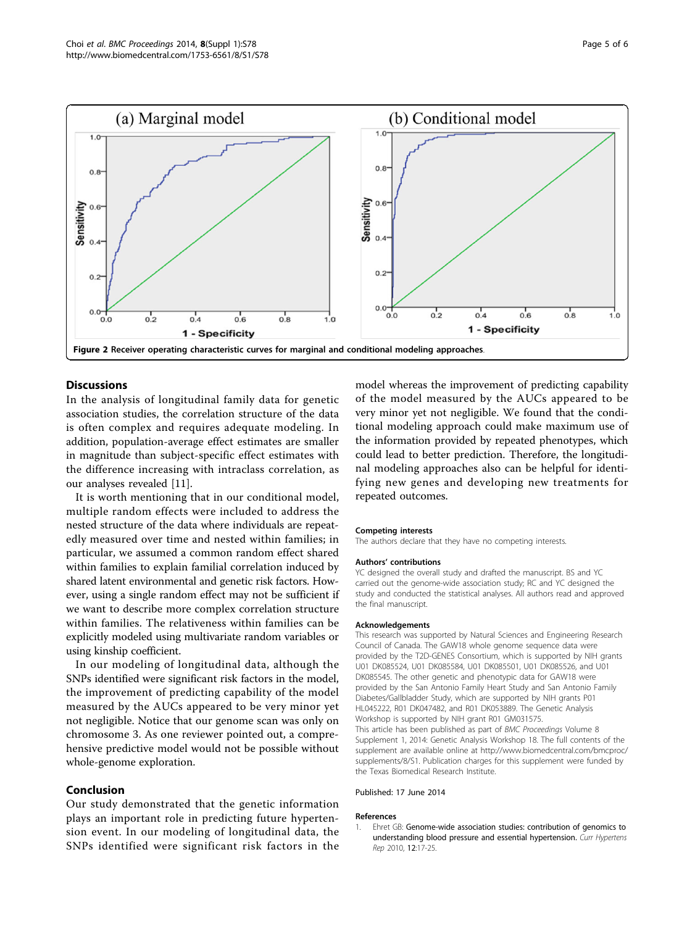<span id="page-4-0"></span>

## **Discussions**

In the analysis of longitudinal family data for genetic association studies, the correlation structure of the data is often complex and requires adequate modeling. In addition, population-average effect estimates are smaller in magnitude than subject-specific effect estimates with the difference increasing with intraclass correlation, as our analyses revealed [[11\]](#page-5-0).

It is worth mentioning that in our conditional model, multiple random effects were included to address the nested structure of the data where individuals are repeatedly measured over time and nested within families; in particular, we assumed a common random effect shared within families to explain familial correlation induced by shared latent environmental and genetic risk factors. However, using a single random effect may not be sufficient if we want to describe more complex correlation structure within families. The relativeness within families can be explicitly modeled using multivariate random variables or using kinship coefficient.

In our modeling of longitudinal data, although the SNPs identified were significant risk factors in the model, the improvement of predicting capability of the model measured by the AUCs appeared to be very minor yet not negligible. Notice that our genome scan was only on chromosome 3. As one reviewer pointed out, a comprehensive predictive model would not be possible without whole-genome exploration.

## Conclusion

Our study demonstrated that the genetic information plays an important role in predicting future hypertension event. In our modeling of longitudinal data, the SNPs identified were significant risk factors in the model whereas the improvement of predicting capability of the model measured by the AUCs appeared to be very minor yet not negligible. We found that the conditional modeling approach could make maximum use of the information provided by repeated phenotypes, which could lead to better prediction. Therefore, the longitudinal modeling approaches also can be helpful for identifying new genes and developing new treatments for repeated outcomes.

#### Competing interests

The authors declare that they have no competing interests.

#### Authors' contributions

YC designed the overall study and drafted the manuscript. BS and YC carried out the genome-wide association study; RC and YC designed the study and conducted the statistical analyses. All authors read and approved the final manuscript.

#### Acknowledgements

This research was supported by Natural Sciences and Engineering Research Council of Canada. The GAW18 whole genome sequence data were provided by the T2D-GENES Consortium, which is supported by NIH grants U01 DK085524, U01 DK085584, U01 DK085501, U01 DK085526, and U01 DK085545. The other genetic and phenotypic data for GAW18 were provided by the San Antonio Family Heart Study and San Antonio Family Diabetes/Gallbladder Study, which are supported by NIH grants P01 HL045222, R01 DK047482, and R01 DK053889. The Genetic Analysis Workshop is supported by NIH grant R01 GM031575. This article has been published as part of BMC Proceedings Volume 8 Supplement 1, 2014: Genetic Analysis Workshop 18. The full contents of the supplement are available online at [http://www.biomedcentral.com/bmcproc/](http://www.biomedcentral.com/bmcproc/supplements/8/S1) [supplements/8/S1.](http://www.biomedcentral.com/bmcproc/supplements/8/S1) Publication charges for this supplement were funded by

#### Published: 17 June 2014

the Texas Biomedical Research Institute.

#### References

1. Ehret GB: [Genome-wide association studies: contribution of genomics to](http://www.ncbi.nlm.nih.gov/pubmed/20425154?dopt=Abstract) [understanding blood pressure and essential hypertension.](http://www.ncbi.nlm.nih.gov/pubmed/20425154?dopt=Abstract) Curr Hypertens Rep 2010, 12:17-25.